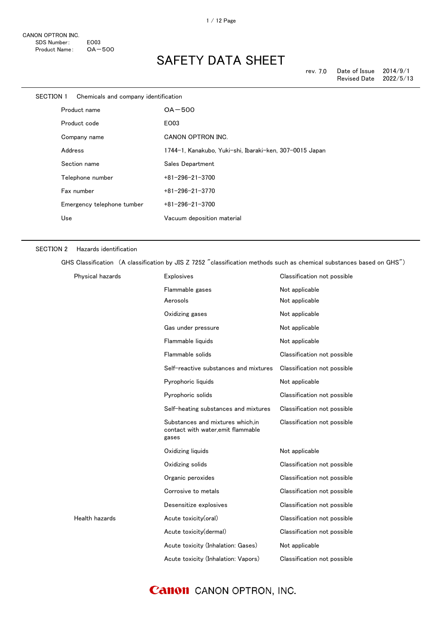| SECTION 1    | Chemicals and company identification |                                                         |
|--------------|--------------------------------------|---------------------------------------------------------|
| Product name |                                      | $OA-500$                                                |
|              | Product code                         | EO03                                                    |
|              | Company name                         | CANON OPTRON INC.                                       |
|              | Address                              | 1744-1, Kanakubo, Yuki-shi, Ibaraki-ken, 307-0015 Japan |
|              | Section name                         | Sales Department                                        |
|              | Telephone number                     | $+81 - 296 - 21 - 3700$                                 |
|              | Fax number                           | $+81 - 296 - 21 - 3770$                                 |
|              | Emergency telephone tumber           | $+81 - 296 - 21 - 3700$                                 |
|              | Use                                  | Vacuum deposition material                              |
|              |                                      |                                                         |

#### SECTION 2 Hazards identification

GHS Classification (A classification by JIS Z 7252 "classification methods such as chemical substances based on GHS")

| Physical hazards | <b>Explosives</b>                                                               | Classification not possible |
|------------------|---------------------------------------------------------------------------------|-----------------------------|
|                  | Flammable gases                                                                 | Not applicable              |
|                  | Aerosols                                                                        | Not applicable              |
|                  | Oxidizing gases                                                                 | Not applicable              |
|                  | Gas under pressure                                                              | Not applicable              |
|                  | Flammable liquids                                                               | Not applicable              |
|                  | Flammable solids                                                                | Classification not possible |
|                  | Self-reactive substances and mixtures                                           | Classification not possible |
|                  | Pyrophoric liquids                                                              | Not applicable              |
|                  | Pyrophoric solids                                                               | Classification not possible |
|                  | Self-heating substances and mixtures                                            | Classification not possible |
|                  | Substances and mixtures which.in<br>contact with water, emit flammable<br>gases | Classification not possible |
|                  | Oxidizing liquids                                                               | Not applicable              |
|                  | Oxidizing solids                                                                | Classification not possible |
|                  | Organic peroxides                                                               | Classification not possible |
|                  | Corrosive to metals                                                             | Classification not possible |
|                  | Desensitize explosives                                                          | Classification not possible |
| Health hazards   | Acute toxicity(oral)                                                            | Classification not possible |
|                  | Acute toxicity(dermal)                                                          | Classification not possible |
|                  | Acute toxicity (Inhalation: Gases)                                              | Not applicable              |
|                  | Acute toxicity (Inhalation: Vapors)                                             | Classification not possible |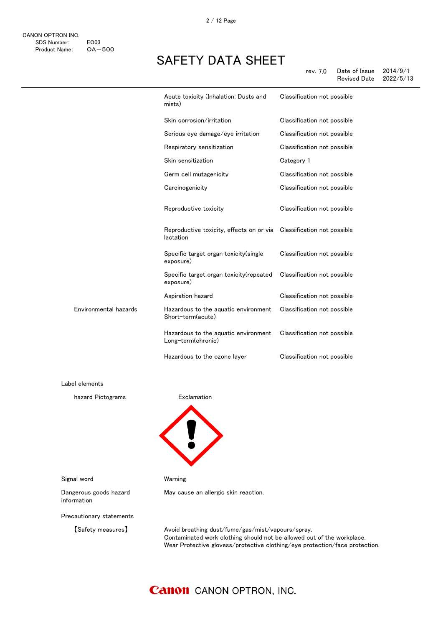|                       | Acute toxicity (Inhalation: Dusts and<br>mists)            | Classification not possible |
|-----------------------|------------------------------------------------------------|-----------------------------|
|                       | Skin corrosion/irritation                                  | Classification not possible |
|                       | Serious eye damage/eye irritation                          | Classification not possible |
|                       | Respiratory sensitization                                  | Classification not possible |
|                       | Skin sensitization                                         | Category 1                  |
|                       | Germ cell mutagenicity                                     | Classification not possible |
|                       | Carcinogenicity                                            | Classification not possible |
|                       | Reproductive toxicity                                      | Classification not possible |
|                       | Reproductive toxicity, effects on or via<br>lactation      | Classification not possible |
|                       | Specific target organ toxicity (single<br>exposure)        | Classification not possible |
|                       | Specific target organ toxicity (repeated<br>exposure)      | Classification not possible |
|                       | Aspiration hazard                                          | Classification not possible |
| Environmental hazards | Hazardous to the aquatic environment<br>Short-term(acute)  | Classification not possible |
|                       | Hazardous to the aquatic environment<br>Long-term(chronic) | Classification not possible |
|                       | Hazardous to the ozone layer                               | Classification not possible |

Label elements

hazard Pictograms **Exclamation** 



Signal word Warning

information

May cause an allergic skin reaction.

Precautionary statements

Dangerous goods hazard

【Safety measures】 Avoid breathing dust/fume/gas/mist/vapours/spray. Contaminated work clothing should not be allowed out of the workplace. Wear Protective glovess/protective clothing/eye protection/face protection.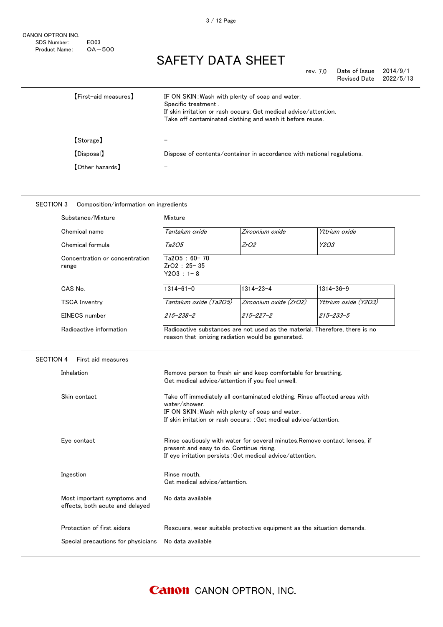| rev. 7.0 | Date of Issue       | 2014/9/1  |
|----------|---------------------|-----------|
|          | <b>Revised Date</b> | 2022/5/13 |

| <b>[First-aid measures]</b> | IF ON SKIN: Wash with plenty of soap and water.<br>Specific treatment.<br>If skin irritation or rash occurs: Get medical advice/attention.<br>Take off contaminated clothing and wash it before reuse. |
|-----------------------------|--------------------------------------------------------------------------------------------------------------------------------------------------------------------------------------------------------|
| [Storage]                   |                                                                                                                                                                                                        |
| [Disposal]                  | Dispose of contents/container in accordance with national regulations.                                                                                                                                 |
| <b>[Other hazards]</b>      |                                                                                                                                                                                                        |

#### SECTION 3 Composition/information on ingredients

| Substance/Mixture                                              | Mixture                                                                                                                                                                                                                                                                                                                                                                                                    |                                                                             |                      |
|----------------------------------------------------------------|------------------------------------------------------------------------------------------------------------------------------------------------------------------------------------------------------------------------------------------------------------------------------------------------------------------------------------------------------------------------------------------------------------|-----------------------------------------------------------------------------|----------------------|
| Chemical name                                                  | Tantalum oxide                                                                                                                                                                                                                                                                                                                                                                                             | Zirconium oxide                                                             | Yttrium oxide        |
| Chemical formula                                               | Ta205                                                                                                                                                                                                                                                                                                                                                                                                      | ZrO2                                                                        | Y203                 |
| Concentration or concentration<br>range                        | Ta2O5: 60-70<br>ZrO2: 25-35<br>$Y2O3 : 1 - 8$                                                                                                                                                                                                                                                                                                                                                              |                                                                             |                      |
| CAS No.                                                        | $1314 - 61 - 0$                                                                                                                                                                                                                                                                                                                                                                                            | $1314 - 23 - 4$                                                             | $1314 - 36 - 9$      |
| TSCA Inventry                                                  | Tantalum oxide (Ta2O5)                                                                                                                                                                                                                                                                                                                                                                                     | Zirconium oxide (ZrO2)                                                      | Yttrium oxide (Y2O3) |
| EINECS number                                                  | $215 - 238 - 2$                                                                                                                                                                                                                                                                                                                                                                                            | $215 - 227 - 2$                                                             | $215 - 233 - 5$      |
| Radioactive information                                        | reason that ionizing radiation would be generated.                                                                                                                                                                                                                                                                                                                                                         | Radioactive substances are not used as the material. Therefore, there is no |                      |
| <b>SECTION 4</b><br>First aid measures                         |                                                                                                                                                                                                                                                                                                                                                                                                            |                                                                             |                      |
| Inhalation                                                     | Get medical advice/attention if you feel unwell.                                                                                                                                                                                                                                                                                                                                                           | Remove person to fresh air and keep comfortable for breathing.              |                      |
| Skin contact                                                   | Take off immediately all contaminated clothing. Rinse affected areas with<br>water/shower.<br>IF ON SKIN: Wash with plenty of soap and water.<br>If skin irritation or rash occurs: : Get medical advice/attention.<br>Rinse cautiously with water for several minutes. Remove contact lenses, if<br>present and easy to do. Continue rising.<br>If eye irritation persists: Get medical advice/attention. |                                                                             |                      |
| Eye contact                                                    |                                                                                                                                                                                                                                                                                                                                                                                                            |                                                                             |                      |
| Ingestion                                                      | Rinse mouth.<br>Get medical advice/attention.                                                                                                                                                                                                                                                                                                                                                              |                                                                             |                      |
| Most important symptoms and<br>effects, both acute and delayed | No data available                                                                                                                                                                                                                                                                                                                                                                                          |                                                                             |                      |
| Protection of first aiders                                     |                                                                                                                                                                                                                                                                                                                                                                                                            | Rescuers, wear suitable protective equipment as the situation demands.      |                      |
| Special precautions for physicians                             | No data available                                                                                                                                                                                                                                                                                                                                                                                          |                                                                             |                      |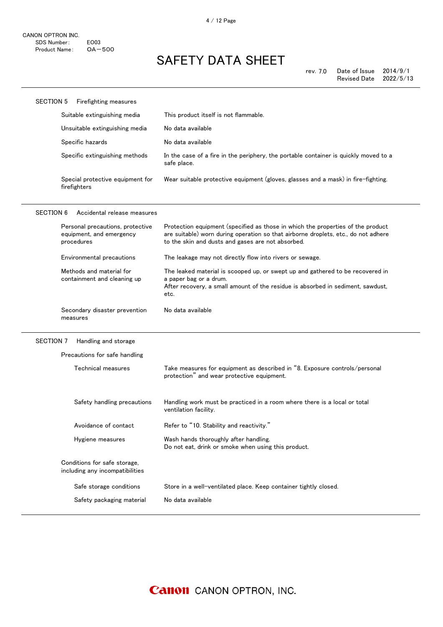| <b>SECTION 5</b> | Firefighting measures                                                      |                                                                                                                                                                                                                            |
|------------------|----------------------------------------------------------------------------|----------------------------------------------------------------------------------------------------------------------------------------------------------------------------------------------------------------------------|
|                  | Suitable extinguishing media                                               | This product itself is not flammable.                                                                                                                                                                                      |
|                  | Unsuitable extinguishing media                                             | No data available                                                                                                                                                                                                          |
|                  | Specific hazards                                                           | No data available                                                                                                                                                                                                          |
|                  | Specific extinguishing methods                                             | In the case of a fire in the periphery, the portable container is quickly moved to a<br>safe place.                                                                                                                        |
|                  | Special protective equipment for<br>firefighters                           | Wear suitable protective equipment (gloves, glasses and a mask) in fire-fighting.                                                                                                                                          |
| <b>SECTION 6</b> | Accidental release measures                                                |                                                                                                                                                                                                                            |
|                  | Personal precautions, protective<br>equipment, and emergency<br>procedures | Protection equipment (specified as those in which the properties of the product<br>are suitable) worn during operation so that airborne droplets, etc., do not adhere<br>to the skin and dusts and gases are not absorbed. |
|                  | Environmental precautions                                                  | The leakage may not directly flow into rivers or sewage.                                                                                                                                                                   |
|                  | Methods and material for<br>containment and cleaning up                    | The leaked material is scooped up, or swept up and gathered to be recovered in<br>a paper bag or a drum.<br>After recovery, a small amount of the residue is absorbed in sediment, sawdust,<br>etc.                        |
|                  |                                                                            |                                                                                                                                                                                                                            |
|                  | Secondary disaster prevention<br>measures                                  | No data available                                                                                                                                                                                                          |
| SECTION 7        | Handling and storage                                                       |                                                                                                                                                                                                                            |
|                  | Precautions for safe handling                                              |                                                                                                                                                                                                                            |
|                  | Technical measures                                                         | Take measures for equipment as described in "8. Exposure controls/personal<br>protection" and wear protective equipment.                                                                                                   |
|                  | Safety handling precautions                                                | Handling work must be practiced in a room where there is a local or total<br>ventilation facility.                                                                                                                         |
|                  | Avoidance of contact                                                       | Refer to "10. Stability and reactivity."                                                                                                                                                                                   |
|                  | Hygiene measures                                                           | Wash hands thoroughly after handling.<br>Do not eat, drink or smoke when using this product.                                                                                                                               |
|                  | Conditions for safe storage,<br>including any incompatibilities            |                                                                                                                                                                                                                            |
|                  | Safe storage conditions                                                    | Store in a well-ventilated place. Keep container tightly closed.                                                                                                                                                           |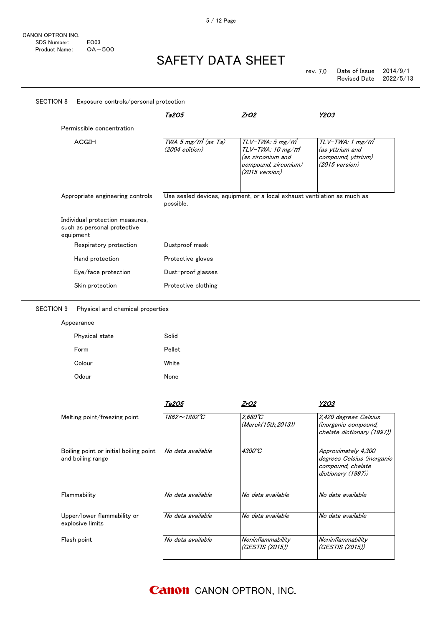|                                                                             | <u>Ta2O5</u>                               | <u>ZrO2</u>                                                                                                                       | <u>Y2O3</u>                                                                                       |
|-----------------------------------------------------------------------------|--------------------------------------------|-----------------------------------------------------------------------------------------------------------------------------------|---------------------------------------------------------------------------------------------------|
| Permissible concentration                                                   |                                            |                                                                                                                                   |                                                                                                   |
| <b>ACGIH</b>                                                                | TWA 5 $mg/m^3$ (as Ta)<br>$(2004$ edition) | $TLV$ -TWA: 5 mg/m $^*$<br>TLV-TWA: 10 mg/m <sup>3</sup><br>(as zirconium and<br>compound, zirconium)<br>$(2015 \text{ version})$ | TLV-TWA: 1 mg/m <sup>*</sup><br>(as yttrium and<br>compound, yttrium)<br>$(2015 \text{ version})$ |
|                                                                             |                                            |                                                                                                                                   |                                                                                                   |
| Appropriate engineering controls                                            | possible.                                  | Use sealed devices, equipment, or a local exhaust ventilation as much as                                                          |                                                                                                   |
| Individual protection measures,<br>such as personal protective<br>equipment |                                            |                                                                                                                                   |                                                                                                   |
| Respiratory protection                                                      | Dustproof mask                             |                                                                                                                                   |                                                                                                   |
| Hand protection                                                             | Protective gloves                          |                                                                                                                                   |                                                                                                   |
| Eye/face protection                                                         | Dust-proof glasses                         |                                                                                                                                   |                                                                                                   |

#### SECTION 9 Physical and chemical properties

Appearance

| Physical state | Solid  |
|----------------|--------|
| Form           | Pellet |
| Colour         | White  |
| Odour          | None   |

|                                                             | Ta2O5                     | ZrO2                                   | Y2O3                                                                                         |
|-------------------------------------------------------------|---------------------------|----------------------------------------|----------------------------------------------------------------------------------------------|
| Melting point/freezing point                                | $1862 \sim 1882^{\circ}C$ | $2.680^{\circ}C$<br>(Merck(15th.2013)) | 2,420 degrees Celsius<br><i>(inorganic compound,</i><br>chelate dictionary (1997))           |
| Boiling point or initial boiling point<br>and boiling range | No data available         | $4300^{\circ}C$                        | Approximately 4,300<br>degrees Celsius (inorganic<br>compound, chelate<br>dictionary (1997)) |
| Flammability                                                | No data available         | No data available                      | No data available                                                                            |
| Upper/lower flammability or<br>explosive limits             | No data available         | No data available                      | No data available                                                                            |
| Flash point                                                 | No data available         | Noninflammability<br>(GESTIS (2015))   | Noninflammability<br>(GESTIS (2015))                                                         |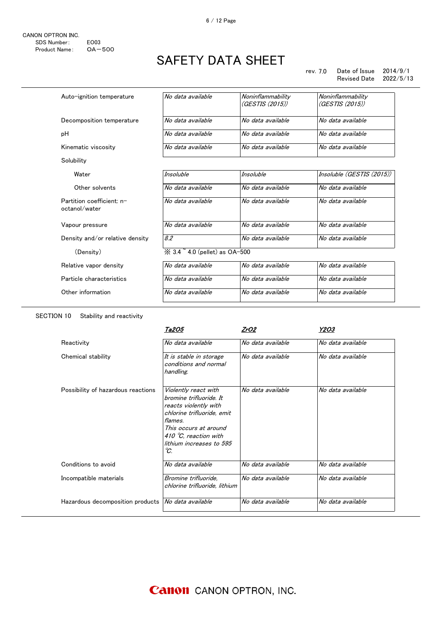#### rev. 7.0 Date of Issue 2014/9/1 Revised Date 2022/5/13

| Auto-ignition temperature                  | No data available                                  | Noninflammability<br>(GESTIS (2015)) | Noninflammability<br>(GESTIS (2015)) |
|--------------------------------------------|----------------------------------------------------|--------------------------------------|--------------------------------------|
| Decomposition temperature                  | No data available                                  | No data available                    | No data available                    |
| рH                                         | No data available                                  | No data available                    | No data available                    |
| Kinematic viscosity                        | No data available                                  | No data available                    | No data available                    |
| Solubility                                 |                                                    |                                      |                                      |
| Water                                      | Insoluble                                          | Insoluble                            | Insoluble (GESTIS (2015))            |
| Other solvents                             | No data available                                  | No data available                    | No data available                    |
| Partition coefficient: n-<br>octanol/water | No data available                                  | No data available                    | No data available                    |
| Vapour pressure                            | No data available                                  | No data available                    | No data available                    |
| Density and/or relative density            | 8.2                                                | No data available                    | No data available                    |
| (Density)                                  | $\frac{1}{2}$ 3.4 $\degree$ 4.0 (pellet) as OA-500 |                                      |                                      |
| Relative vapor density                     | No data available                                  | No data available                    | No data available                    |
| Particle characteristics                   | No data available                                  | No data available                    | No data available                    |
| Other information                          | No data available                                  | No data available                    | No data available                    |

#### SECTION 10 Stability and reactivity

|                                    | Ta2O5                                                                                                                                                                                                  | ZrO2              | Y2O3              |
|------------------------------------|--------------------------------------------------------------------------------------------------------------------------------------------------------------------------------------------------------|-------------------|-------------------|
| Reactivity                         | No data available                                                                                                                                                                                      | No data available | No data available |
| Chemical stability                 | It is stable in storage<br>conditions and normal<br>handling.                                                                                                                                          | No data available | No data available |
| Possibility of hazardous reactions | Violently react with<br>bromine trifluoride. It<br>reacts violently with<br>chlorine trifluoride, emit<br>flames.<br>This occurs at around<br>410 °C, reaction with<br>lithium increases to 595<br>°C. | No data available | No data available |
| Conditions to avoid                | No data available                                                                                                                                                                                      | No data available | No data available |
| Incompatible materials             | Bromine trifluoride.<br>chlorine trifluoride, lithium                                                                                                                                                  | No data available | No data available |
| Hazardous decomposition products   | No data available                                                                                                                                                                                      | No data available | No data available |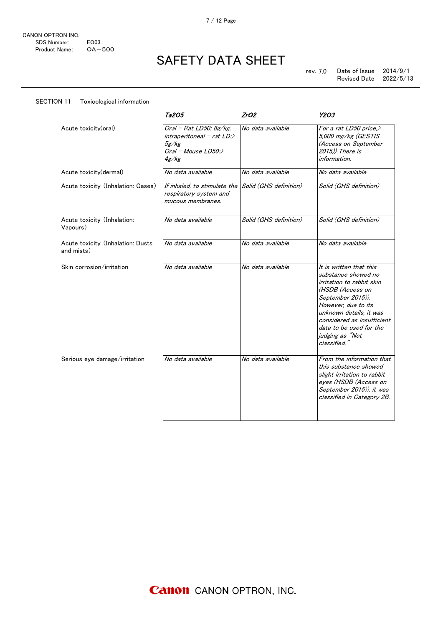SECTION 11 Toxicological information

## SAFETY DATA SHEET

|                                                 | Ta2O5                                                                                        | <u>ZrO2</u>            | Y2O3                                                                                                                                                                                                                                                               |
|-------------------------------------------------|----------------------------------------------------------------------------------------------|------------------------|--------------------------------------------------------------------------------------------------------------------------------------------------------------------------------------------------------------------------------------------------------------------|
| Acute toxicity(oral)                            | Oral - Rat LD50: $8g/kg$ ,<br>$interval - rat LD$<br>5g/kg<br>Oral - Mouse $LD50$ :<br>4g/kg | No data available      | For a rat LD50 price. $>$<br>5,000 mg/kg (GESTIS<br>(Access on September<br>2015)) There is<br>information.                                                                                                                                                        |
| Acute toxicity(dermal)                          | No data available                                                                            | No data available      | No data available                                                                                                                                                                                                                                                  |
| Acute toxicity (Inhalation: Gases)              | If inhaled, to stimulate the<br>respiratory system and<br>mucous membranes.                  | Solid (GHS definition) | Solid (GHS definition)                                                                                                                                                                                                                                             |
| Acute toxicity (Inhalation:<br>Vapours)         | No data available                                                                            | Solid (GHS definition) | Solid (GHS definition)                                                                                                                                                                                                                                             |
| Acute toxicity (Inhalation: Dusts<br>and mists) | No data available                                                                            | No data available      | No data available                                                                                                                                                                                                                                                  |
| Skin corrosion/irritation                       | No data available                                                                            | No data available      | It is written that this<br>substance showed no<br>irritation to rabbit skin<br>(HSDB (Access on<br>September 2015)).<br>However, due to its<br>unknown details, it was<br>considered as insufficient<br>data to be used for the<br>judging as "Not<br>classified." |
| Serious eye damage/irritation                   | No data available                                                                            | No data available      | From the information that<br>this substance showed<br>slight irritation to rabbit<br>eyes (HSDB (Access on<br>September 2015)), it was<br>classified in Category 2B.                                                                                               |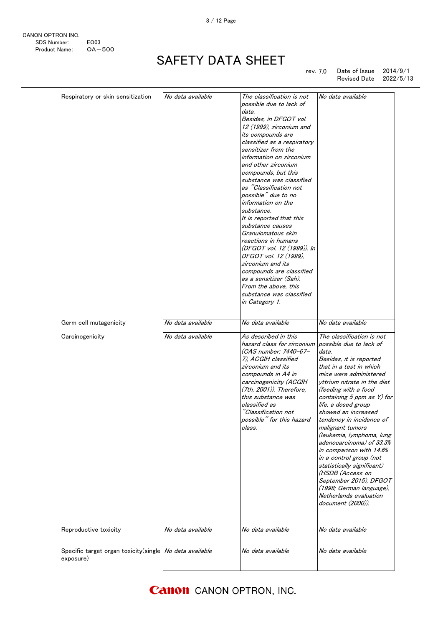CANON OPTRON INC. SDS Number: EO03<br>Product Name: OA-500 Product Name:

# SAFETY DATA SHEET

rev. 7.0 Date of Issue 2014/9/1 Revised Date 2022/5/13

| Respiratory or skin sensitization                                    | No data available | The classification is not<br>possible due to lack of<br>data.<br>Besides, in DFGOT vol.<br>12 (1999), zirconium and<br>its compounds are<br>classified as a respiratory<br>sensitizer from the<br>information on zirconium<br>and other zirconium<br>compounds, but this<br>substance was classified<br>as "Classification not<br>possible" due to no<br>information on the<br>substance.<br>It is reported that this<br>substance causes<br>Granulomatous skin<br>reactions in humans<br>(DFGOT vol. 12 (1999)). In<br>DFGOT vol. 12 (1999),<br>zirconium and its<br>compounds are classified<br>as a sensitizer (Sah).<br>From the above, this<br>substance was classified<br>in Category 1. | No data available                                                                                                                                                                                                                                                                                                                                                                                                                                                                                                                                                                                       |
|----------------------------------------------------------------------|-------------------|------------------------------------------------------------------------------------------------------------------------------------------------------------------------------------------------------------------------------------------------------------------------------------------------------------------------------------------------------------------------------------------------------------------------------------------------------------------------------------------------------------------------------------------------------------------------------------------------------------------------------------------------------------------------------------------------|---------------------------------------------------------------------------------------------------------------------------------------------------------------------------------------------------------------------------------------------------------------------------------------------------------------------------------------------------------------------------------------------------------------------------------------------------------------------------------------------------------------------------------------------------------------------------------------------------------|
| Germ cell mutagenicity                                               | No data available | No data available                                                                                                                                                                                                                                                                                                                                                                                                                                                                                                                                                                                                                                                                              | No data available                                                                                                                                                                                                                                                                                                                                                                                                                                                                                                                                                                                       |
| Carcinogenicity                                                      | No data available | As described in this<br>hazard class for zirconium<br>(CAS number: 7440-67-<br>7). ACGIH classified<br>zirconium and its<br>compounds in A4 in<br>carcinogenicity (ACGIH<br>$(7th, 2001)$ ). Therefore,<br>this substance was<br>classified as<br>"Classification not<br>possible" for this hazard<br>class.                                                                                                                                                                                                                                                                                                                                                                                   | The classification is not<br>possible due to lack of<br>data.<br>Besides, it is reported<br>that in a test in which<br>mice were administered<br>yttrium nitrate in the diet<br>(feeding with a food<br>containing 5 ppm as Y) for<br>life, a dosed group<br>showed an increased<br>tendency in incidence of<br>malignant tumors<br>(leukemia, lymphoma, lung<br>adenocarcinoma) of 33.3%<br>in comparison with 14.6%<br>in a control group (not<br>statistically significant)<br>(HSDB (Access on<br>September 2015), DFGOT<br>(1998; German language),<br>Netherlands evaluation<br>document (2000)). |
| Reproductive toxicity                                                | No data available | No data available                                                                                                                                                                                                                                                                                                                                                                                                                                                                                                                                                                                                                                                                              | No data available                                                                                                                                                                                                                                                                                                                                                                                                                                                                                                                                                                                       |
| Specific target organ toxicity(single No data available<br>exposure) |                   | No data available                                                                                                                                                                                                                                                                                                                                                                                                                                                                                                                                                                                                                                                                              | No data available                                                                                                                                                                                                                                                                                                                                                                                                                                                                                                                                                                                       |
|                                                                      |                   |                                                                                                                                                                                                                                                                                                                                                                                                                                                                                                                                                                                                                                                                                                |                                                                                                                                                                                                                                                                                                                                                                                                                                                                                                                                                                                                         |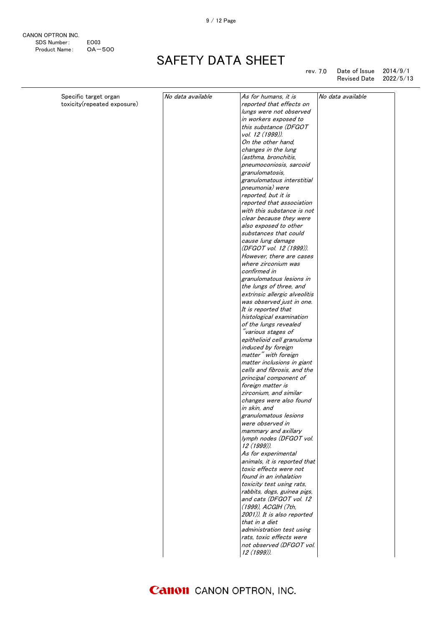9 / 12 Page

| CANON OPTRON INC. |                  |
|-------------------|------------------|
| SDS Number:       | FO <sub>03</sub> |
| Product Name:     | $OA - 500$       |

# SAFETY DATA SHEET

rev. 7.0 Date of Issue 2014/9/1 Revised Date 2022/5/13

| Specific target organ       | No data available | As for humans, it is                    | No data available |
|-----------------------------|-------------------|-----------------------------------------|-------------------|
| toxicity(repeated exposure) |                   | reported that effects on                |                   |
|                             |                   | lungs were not observed                 |                   |
|                             |                   | in workers exposed to                   |                   |
|                             |                   | this substance (DFGOT                   |                   |
|                             |                   | vol. 12 (1999)).                        |                   |
|                             |                   | On the other hand,                      |                   |
|                             |                   | changes in the lung                     |                   |
|                             |                   | (asthma, bronchitis,                    |                   |
|                             |                   | pneumoconiosis, sarcoid                 |                   |
|                             |                   | granulomatosis,                         |                   |
|                             |                   | granulomatous interstitial              |                   |
|                             |                   | pneumonia) were                         |                   |
|                             |                   | reported, but it is                     |                   |
|                             |                   | reported that association               |                   |
|                             |                   | with this substance is not              |                   |
|                             |                   | clear because they were                 |                   |
|                             |                   | also exposed to other                   |                   |
|                             |                   | substances that could                   |                   |
|                             |                   | cause lung damage                       |                   |
|                             |                   | (DFGOT vol. 12 (1999)).                 |                   |
|                             |                   | However, there are cases                |                   |
|                             |                   | where zirconium was                     |                   |
|                             |                   | confirmed in                            |                   |
|                             |                   | granulomatous lesions in                |                   |
|                             |                   | the lungs of three, and                 |                   |
|                             |                   | extrinsic allergic alveolitis           |                   |
|                             |                   | was observed just in one.               |                   |
|                             |                   | It is reported that                     |                   |
|                             |                   | histological examination                |                   |
|                             |                   | of the lungs revealed                   |                   |
|                             |                   | "various stages of                      |                   |
|                             |                   | epithelioid cell granuloma              |                   |
|                             |                   | induced by foreign                      |                   |
|                             |                   | matter" with foreign                    |                   |
|                             |                   | matter inclusions in giant              |                   |
|                             |                   | cells and fibrosis, and the             |                   |
|                             |                   | principal component of                  |                   |
|                             |                   | foreign matter is                       |                   |
|                             |                   | zirconium, and similar                  |                   |
|                             |                   | changes were also found                 |                   |
|                             |                   | in skin, and                            |                   |
|                             |                   | granulomatous lesions                   |                   |
|                             |                   | were observed in                        |                   |
|                             |                   | mammary and axillary                    |                   |
|                             |                   | lymph nodes (DFGOT vol.                 |                   |
|                             |                   | 12 (1999)).                             |                   |
|                             |                   | As for experimental                     |                   |
|                             |                   | animals, it is reported that            |                   |
|                             |                   | toxic effects were not                  |                   |
|                             |                   | found in an inhalation                  |                   |
|                             |                   | toxicity test using rats,               |                   |
|                             |                   | rabbits, dogs, guinea pigs,             |                   |
|                             |                   | and cats (DFGOT vol. 12                 |                   |
|                             |                   | (1999), ACGIH (7th,                     |                   |
|                             |                   | 2001)). It is also reported             |                   |
|                             |                   |                                         |                   |
|                             |                   | that in a diet                          |                   |
|                             |                   | administration test using               |                   |
|                             |                   | rats, toxic effects were                |                   |
|                             |                   | not observed (DFGOT vol.<br>12 (1999)). |                   |
|                             |                   |                                         |                   |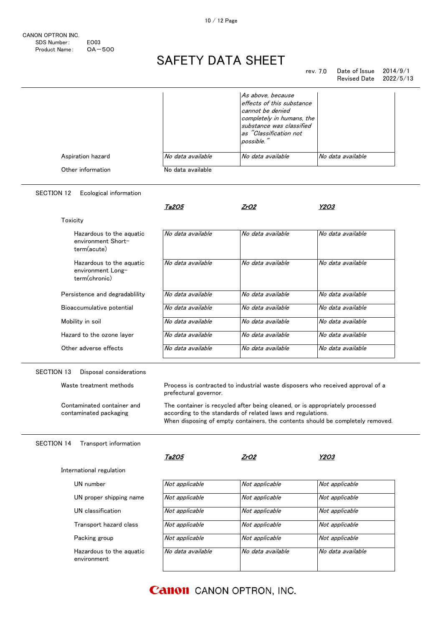#### SAFETY DATA SHEET  $\overline{\phantom{a}}$

#### rev. 7.0 Date of Issue  $2014/9/1$ <br>Revised Date  $2022/5/13$ Revised Date rats, toxic effects were

|                                                                |                   | As above, because<br>effects of this substance<br>cannot be denied<br>completely in humans, the<br>substance was classified<br>as "Classification not<br>possible." |                   |
|----------------------------------------------------------------|-------------------|---------------------------------------------------------------------------------------------------------------------------------------------------------------------|-------------------|
| Aspiration hazard                                              | No data available | No data available                                                                                                                                                   | No data available |
| Other information                                              | No data available |                                                                                                                                                                     |                   |
| <b>SECTION 12</b><br>Ecological information                    |                   |                                                                                                                                                                     |                   |
|                                                                | Ta205             | ZrO2                                                                                                                                                                | Y2O3              |
| Toxicity                                                       |                   |                                                                                                                                                                     |                   |
| Hazardous to the aguatic<br>environment Short-<br>term(acute)  | No data available | No data available                                                                                                                                                   | No data available |
| Hazardous to the aquatic<br>environment Long-<br>term(chronic) | No data available | No data available                                                                                                                                                   | No data available |
| Persistence and degradablility                                 | No data available | No data available                                                                                                                                                   | No data available |
| Bioaccumulative potential                                      | No data available | No data available                                                                                                                                                   | No data available |
|                                                                |                   |                                                                                                                                                                     | No data available |
| Mobility in soil                                               | No data available | No data available                                                                                                                                                   |                   |
| Hazard to the ozone layer                                      | No data available | No data available                                                                                                                                                   | No data available |

Waste treatment methods Process is contracted to industrial waste disposers who received approval of a prefectural governor.

> The container is recycled after being cleaned, or is appropriately processed according to the standards of related laws and regulations. When disposing of empty containers, the contents should be completely removed.

#### SECTION 14 Transport information

Contaminated container and contaminated packaging

|                                         | Ta2O5             | ZrO2              | Y2O3              |
|-----------------------------------------|-------------------|-------------------|-------------------|
| International regulation                |                   |                   |                   |
| UN number                               | Not applicable    | Not applicable    | Not applicable    |
| UN proper shipping name                 | Not applicable    | Not applicable    | Not applicable    |
| UN classification                       | Not applicable    | Not applicable    | Not applicable    |
| Transport hazard class                  | Not applicable    | Not applicable    | Not applicable    |
| Packing group                           | Not applicable    | Not applicable    | Not applicable    |
| Hazardous to the aguatic<br>environment | No data available | No data available | No data available |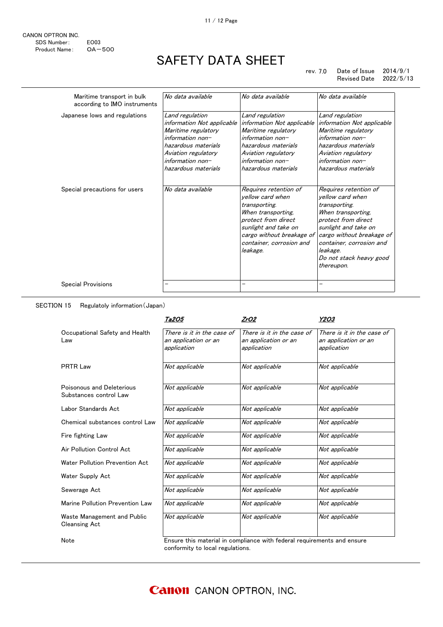11 / 12 Page

| CANON OPTRON INC. |                  |
|-------------------|------------------|
| SDS Number:       | FO <sub>03</sub> |
| Product Name:     | $OA - 500$       |

 $\overline{a}$ 

## SAFETY DATA SHEET

#### rev. 7.0 Date of Issue 2014/9/1 Revised Date 2022/5/13

| Maritime transport in bulk<br>according to IMO instruments | No data available                                                                                                                                                                     | No data available                                                                                                                                                                                    | No data available                                                                                                                                                                                                                             |
|------------------------------------------------------------|---------------------------------------------------------------------------------------------------------------------------------------------------------------------------------------|------------------------------------------------------------------------------------------------------------------------------------------------------------------------------------------------------|-----------------------------------------------------------------------------------------------------------------------------------------------------------------------------------------------------------------------------------------------|
| Japanese lows and regulations                              | Land regulation<br>information Not applicable<br>Maritime regulatory<br>$information non-$<br>hazardous materials<br>Aviation regulatory<br>information $non-$<br>hazardous materials | Land regulation<br>information Not applicable<br>Maritime regulatory<br>$information non-$<br>hazardous materials<br>Aviation regulatory<br>$information non-$<br>hazardous materials                | Land regulation<br>information Not applicable<br>Maritime regulatory<br>$information non-$<br>hazardous materials<br>Aviation regulatory<br>$information non-$<br>hazardous materials                                                         |
| Special precautions for users                              | No data available                                                                                                                                                                     | Requires retention of<br>vellow card when<br>transporting.<br>When transporting,<br>protect from direct<br>sunlight and take on<br>cargo without breakage of<br>container, corrosion and<br>leakage. | Requires retention of<br>vellow card when<br>transporting.<br>When transporting,<br>protect from direct<br>sunlight and take on<br>cargo without breakage of<br>container, corrosion and<br>leakage.<br>Do not stack heavy good<br>thereupon. |
| Special Provisions                                         | -                                                                                                                                                                                     |                                                                                                                                                                                                      |                                                                                                                                                                                                                                               |

#### SECTION 15 Regulatoly information(Japan)

|                                                     | Ta2O5                                                             | ZrO2                                                              | Y2O3                                                              |
|-----------------------------------------------------|-------------------------------------------------------------------|-------------------------------------------------------------------|-------------------------------------------------------------------|
| Occupational Safety and Health<br>Law               | There is it in the case of<br>an application or an<br>application | There is it in the case of<br>an application or an<br>application | There is it in the case of<br>an application or an<br>application |
| <b>PRTR Law</b>                                     | Not applicable                                                    | Not applicable                                                    | Not applicable                                                    |
| Poisonous and Deleterious<br>Substances control Law | Not applicable                                                    | Not applicable                                                    | Not applicable                                                    |
| Labor Standards Act                                 | Not applicable                                                    | Not applicable                                                    | Not applicable                                                    |
| Chemical substances control Law                     | Not applicable                                                    | Not applicable                                                    | Not applicable                                                    |
| Fire fighting Law                                   | Not applicable                                                    | Not applicable                                                    | Not applicable                                                    |
| Air Pollution Control Act                           | Not applicable                                                    | Not applicable                                                    | Not applicable                                                    |
| Water Pollution Prevention Act                      | Not applicable                                                    | Not applicable                                                    | Not applicable                                                    |
| Water Supply Act                                    | Not applicable                                                    | Not applicable                                                    | Not applicable                                                    |
| Sewerage Act                                        | Not applicable                                                    | Not applicable                                                    | Not applicable                                                    |
| Marine Pollution Prevention Law                     | Not applicable                                                    | Not applicable                                                    | Not applicable                                                    |
| Waste Management and Public<br><b>Cleansing Act</b> | Not applicable                                                    | Not applicable                                                    | Not applicable                                                    |

Note **Ensure this material in compliance with federal requirements and ensure** conformity to local regulations.